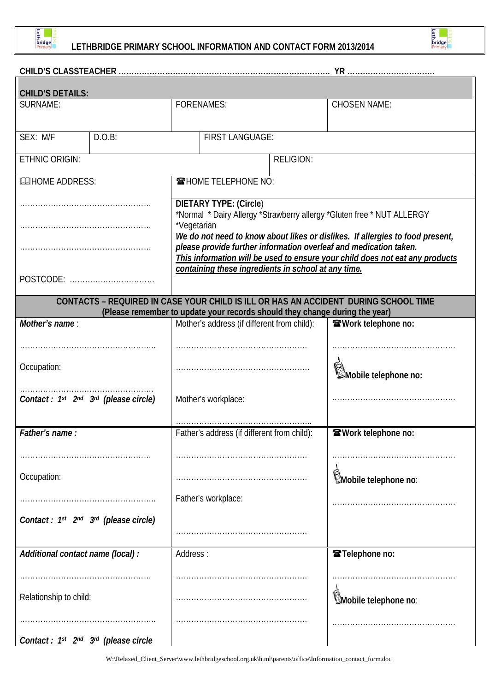

 $\Gamma$ 

# **LETHBRIDGE PRIMARY SCHOOL INFORMATION AND CONTACT FORM 2013/2014**



# **CHILD'S CLASSTEACHER ………………………………………………………………………. YR …………………………….**

| <b>CHILD'S DETAILS:</b>                                                                                                                      |        |                                                                                                                                                                                                                                                                                                                                                                                                                     |  |  |                            |  |  |
|----------------------------------------------------------------------------------------------------------------------------------------------|--------|---------------------------------------------------------------------------------------------------------------------------------------------------------------------------------------------------------------------------------------------------------------------------------------------------------------------------------------------------------------------------------------------------------------------|--|--|----------------------------|--|--|
| SURNAME:                                                                                                                                     |        | <b>FORENAMES:</b>                                                                                                                                                                                                                                                                                                                                                                                                   |  |  | <b>CHOSEN NAME:</b>        |  |  |
|                                                                                                                                              |        |                                                                                                                                                                                                                                                                                                                                                                                                                     |  |  |                            |  |  |
| SEX: M/F                                                                                                                                     | D.O.B: | <b>FIRST LANGUAGE:</b>                                                                                                                                                                                                                                                                                                                                                                                              |  |  |                            |  |  |
| ETHNIC ORIGIN:                                                                                                                               |        | <b>RELIGION:</b>                                                                                                                                                                                                                                                                                                                                                                                                    |  |  |                            |  |  |
| <b>QUIHOME ADDRESS:</b>                                                                                                                      |        | <b>THOME TELEPHONE NO:</b>                                                                                                                                                                                                                                                                                                                                                                                          |  |  |                            |  |  |
|                                                                                                                                              |        | <b>DIETARY TYPE: (Circle)</b><br>*Normal * Dairy Allergy *Strawberry allergy *Gluten free * NUT ALLERGY<br>*Vegetarian<br>We do not need to know about likes or dislikes. If allergies to food present,<br>please provide further information overleaf and medication taken.<br>This information will be used to ensure your child does not eat any products<br>containing these ingredients in school at any time. |  |  |                            |  |  |
| POSTCODE:                                                                                                                                    |        |                                                                                                                                                                                                                                                                                                                                                                                                                     |  |  |                            |  |  |
| CONTACTS - REQUIRED IN CASE YOUR CHILD IS ILL OR HAS AN ACCIDENT DURING SCHOOL TIME                                                          |        |                                                                                                                                                                                                                                                                                                                                                                                                                     |  |  |                            |  |  |
| (Please remember to update your records should they change during the year)<br>Mother's address (if different from child):<br>Mother's name: |        |                                                                                                                                                                                                                                                                                                                                                                                                                     |  |  |                            |  |  |
|                                                                                                                                              |        |                                                                                                                                                                                                                                                                                                                                                                                                                     |  |  | <b>@Work telephone no:</b> |  |  |
| Occupation:                                                                                                                                  |        |                                                                                                                                                                                                                                                                                                                                                                                                                     |  |  | Mobile telephone no:       |  |  |
| Contact: 1 <sup>st</sup> 2 <sup>nd</sup> 3 <sup>rd</sup> (please circle)                                                                     |        | Mother's workplace:                                                                                                                                                                                                                                                                                                                                                                                                 |  |  |                            |  |  |
| Father's name:                                                                                                                               |        | Father's address (if different from child):                                                                                                                                                                                                                                                                                                                                                                         |  |  | <b>@Work telephone no:</b> |  |  |
|                                                                                                                                              |        |                                                                                                                                                                                                                                                                                                                                                                                                                     |  |  |                            |  |  |
| Occupation:                                                                                                                                  |        |                                                                                                                                                                                                                                                                                                                                                                                                                     |  |  | Mobile telephone no:       |  |  |
|                                                                                                                                              |        | Father's workplace:                                                                                                                                                                                                                                                                                                                                                                                                 |  |  |                            |  |  |
| Contact: 1st 2nd 3rd (please circle)                                                                                                         |        |                                                                                                                                                                                                                                                                                                                                                                                                                     |  |  |                            |  |  |
| Additional contact name (local) :                                                                                                            |        | Address:                                                                                                                                                                                                                                                                                                                                                                                                            |  |  | <b>雪Telephone no:</b>      |  |  |
|                                                                                                                                              |        |                                                                                                                                                                                                                                                                                                                                                                                                                     |  |  |                            |  |  |
| Relationship to child:                                                                                                                       |        |                                                                                                                                                                                                                                                                                                                                                                                                                     |  |  | Mobile telephone no:       |  |  |
| Contact: $1^{st}$ $2^{nd}$ $3^{rd}$ (please circle                                                                                           |        |                                                                                                                                                                                                                                                                                                                                                                                                                     |  |  |                            |  |  |

W:\Relaxed\_Client\_Server\www.lethbridgeschool.org.uk\html\parents\office\Information\_contact\_form.doc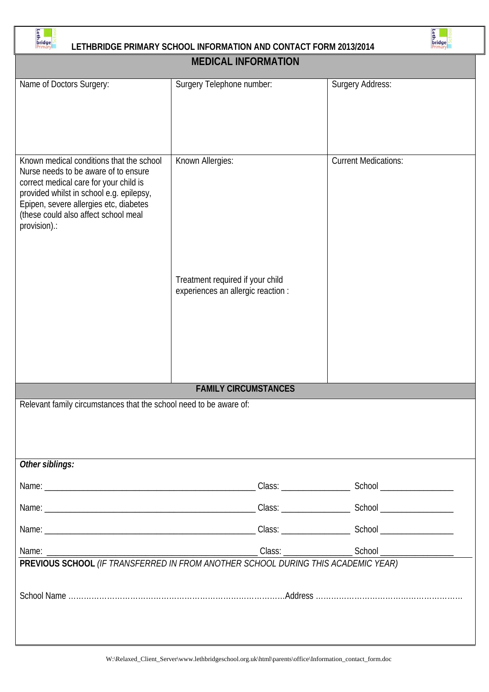

# E LETHBRIDGE PRIMARY SCHOOL INFORMATION AND CONTACT FORM 2013/2014



| <b>MEDICAL INFORMATION</b>                                                                                                                                                                                                                                               |                                                                        |                             |  |  |  |  |
|--------------------------------------------------------------------------------------------------------------------------------------------------------------------------------------------------------------------------------------------------------------------------|------------------------------------------------------------------------|-----------------------------|--|--|--|--|
| Name of Doctors Surgery:                                                                                                                                                                                                                                                 | Surgery Telephone number:                                              | Surgery Address:            |  |  |  |  |
| Known medical conditions that the school<br>Nurse needs to be aware of to ensure<br>correct medical care for your child is<br>provided whilst in school e.g. epilepsy,<br>Epipen, severe allergies etc, diabetes<br>(these could also affect school meal<br>provision).: | Known Allergies:                                                       | <b>Current Medications:</b> |  |  |  |  |
|                                                                                                                                                                                                                                                                          | Treatment required if your child<br>experiences an allergic reaction : |                             |  |  |  |  |
| <b>FAMILY CIRCUMSTANCES</b>                                                                                                                                                                                                                                              |                                                                        |                             |  |  |  |  |
| Relevant family circumstances that the school need to be aware of:<br>Other siblings:                                                                                                                                                                                    |                                                                        |                             |  |  |  |  |
|                                                                                                                                                                                                                                                                          |                                                                        |                             |  |  |  |  |
|                                                                                                                                                                                                                                                                          |                                                                        |                             |  |  |  |  |
|                                                                                                                                                                                                                                                                          |                                                                        |                             |  |  |  |  |
|                                                                                                                                                                                                                                                                          |                                                                        |                             |  |  |  |  |
|                                                                                                                                                                                                                                                                          |                                                                        |                             |  |  |  |  |